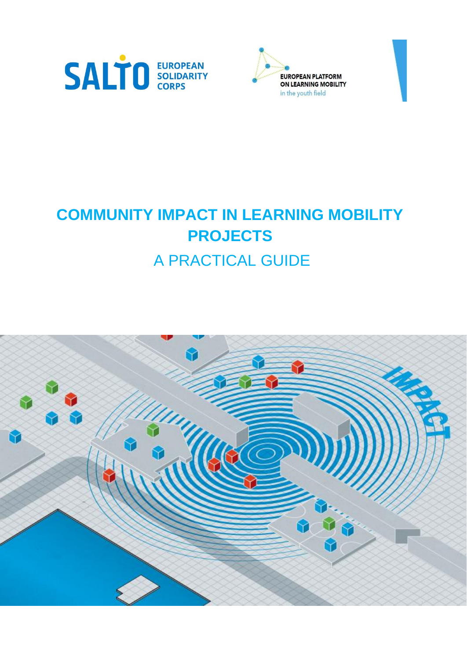



## **COMMUNITY IMPACT IN LEARNING MOBILITY PROJECTS** A PRACTICAL GUIDE

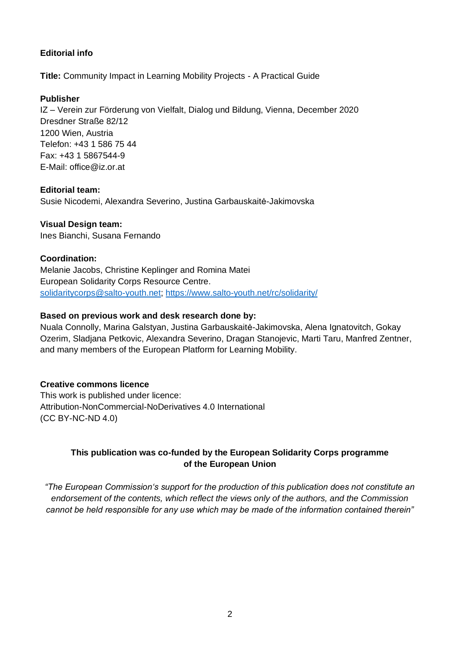#### **Editorial info**

**Title:** Community Impact in Learning Mobility Projects - A Practical Guide

#### **Publisher**

IZ – Verein zur Förderung von Vielfalt, Dialog und Bildung, Vienna, December 2020 Dresdner Straße 82/12 1200 Wien, Austria Telefon: +43 1 586 75 44 Fax: +43 1 5867544-9 E-Mail: office@iz.or.at

#### **Editorial team:**

Susie Nicodemi, Alexandra Severino, Justina Garbauskaitė-Jakimovska

#### **Visual Design team:**

Ines Bianchi, Susana Fernando

#### **Coordination:**

Melanie Jacobs, Christine Keplinger and Romina Matei European Solidarity Corps Resource Centre. solidaritycorps@salto-youth.net;<https://www.salto-youth.net/rc/solidarity/>

#### **Based on previous work and desk research done by:**

Nuala Connolly, Marina Galstyan, Justina Garbauskaitė-Jakimovska, Alena Ignatovitch, Gokay Ozerim, Sladjana Petkovic, Alexandra Severino, Dragan Stanojevic, Marti Taru, Manfred Zentner, and many members of the European Platform for Learning Mobility.

#### **Creative commons licence**

This work is published under licence: Attribution-NonCommercial-NoDerivatives 4.0 International (CC BY-NC-ND 4.0)

#### **This publication was co-funded by the European Solidarity Corps programme of the European Union**

*"The European Commission's support for the production of this publication does not constitute an endorsement of the contents, which reflect the views only of the authors, and the Commission cannot be held responsible for any use which may be made of the information contained therein"*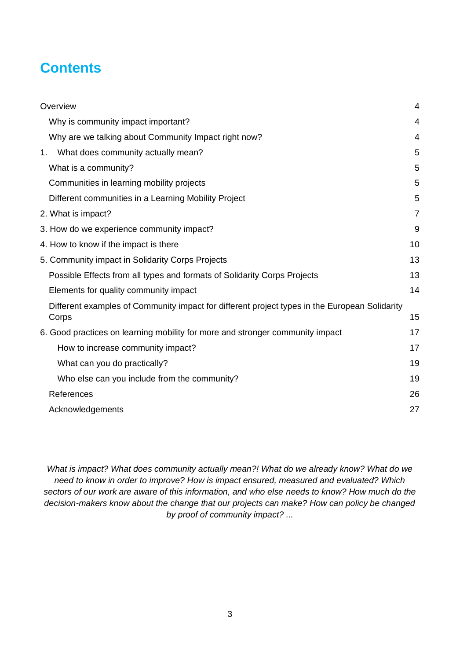## **Contents**

| Overview                                                                                               | 4              |
|--------------------------------------------------------------------------------------------------------|----------------|
| Why is community impact important?                                                                     | 4              |
| Why are we talking about Community Impact right now?                                                   | 4              |
| What does community actually mean?<br>1.                                                               | 5              |
| What is a community?                                                                                   | 5              |
| Communities in learning mobility projects                                                              | 5              |
| Different communities in a Learning Mobility Project                                                   | 5              |
| 2. What is impact?                                                                                     | $\overline{7}$ |
| 3. How do we experience community impact?                                                              | 9              |
| 4. How to know if the impact is there                                                                  | 10             |
| 5. Community impact in Solidarity Corps Projects                                                       | 13             |
| Possible Effects from all types and formats of Solidarity Corps Projects                               | 13             |
| Elements for quality community impact                                                                  | 14             |
| Different examples of Community impact for different project types in the European Solidarity<br>Corps | 15             |
| 6. Good practices on learning mobility for more and stronger community impact                          | 17             |
| How to increase community impact?                                                                      | 17             |
| What can you do practically?                                                                           | 19             |
| Who else can you include from the community?                                                           | 19             |
| References                                                                                             | 26             |
| Acknowledgements                                                                                       | 27             |

*What is impact? What does community actually mean?! What do we already know? What do we need to know in order to improve? How is impact ensured, measured and evaluated? Which sectors of our work are aware of this information, and who else needs to know? How much do the decision-makers know about the change that our projects can make? How can policy be changed by proof of community impact? ...*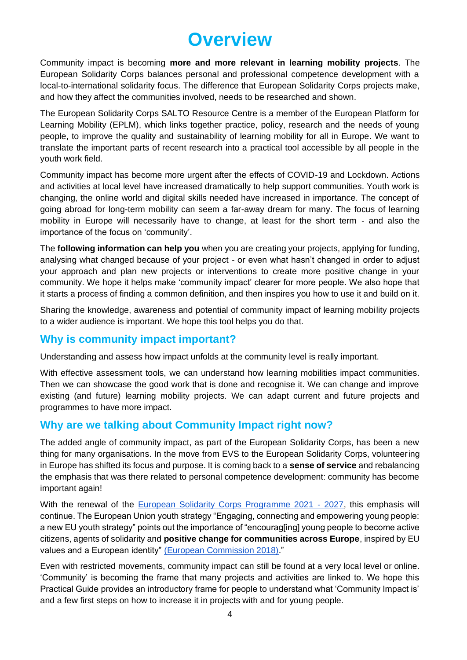## **Overview**

<span id="page-3-0"></span>Community impact is becoming **more and more relevant in learning mobility projects**. The European Solidarity Corps balances personal and professional competence development with a local-to-international solidarity focus. The difference that European Solidarity Corps projects make, and how they affect the communities involved, needs to be researched and shown.

The European Solidarity Corps SALTO Resource Centre is a member of the European Platform for Learning Mobility (EPLM), which links together practice, policy, research and the needs of young people, to improve the quality and sustainability of learning mobility for all in Europe. We want to translate the important parts of recent research into a practical tool accessible by all people in the youth work field.

Community impact has become more urgent after the effects of COVID-19 and Lockdown. Actions and activities at local level have increased dramatically to help support communities. Youth work is changing, the online world and digital skills needed have increased in importance. The concept of going abroad for long-term mobility can seem a far-away dream for many. The focus of learning mobility in Europe will necessarily have to change, at least for the short term - and also the importance of the focus on 'community'.

The **following information can help you** when you are creating your projects, applying for funding, analysing what changed because of your project - or even what hasn't changed in order to adjust your approach and plan new projects or interventions to create more positive change in your community. We hope it helps make 'community impact' clearer for more people. We also hope that it starts a process of finding a common definition, and then inspires you how to use it and build on it.

Sharing the knowledge, awareness and potential of community impact of learning mobility projects to a wider audience is important. We hope this tool helps you do that.

## <span id="page-3-1"></span>**Why is community impact important?**

Understanding and assess how impact unfolds at the community level is really important.

With effective assessment tools, we can understand how learning mobilities impact communities. Then we can showcase the good work that is done and recognise it. We can change and improve existing (and future) learning mobility projects. We can adapt current and future projects and programmes to have more impact.

## <span id="page-3-2"></span>**Why are we talking about Community Impact right now?**

The added angle of community impact, as part of the European Solidarity Corps, has been a new thing for many organisations. In the move from EVS to the European Solidarity Corps, volunteering in Europe has shifted its focus and purpose. It is coming back to a **sense of service** and rebalancing the emphasis that was there related to personal competence development: community has become important again!

With the renewal of the [European Solidarity Corps Programme 2021 -](https://europa.eu/youth/solidarity_en) 2027, this emphasis will continue. The European Union youth strategy "Engaging, connecting and empowering young people: a new EU youth strategy" points out the importance of "encourag[ing] young people to become active citizens, agents of solidarity and **positive change for communities across Europe**, inspired by EU values and a European identity" (European Commission 2018)."

Even with restricted movements, community impact can still be found at a very local level or online. 'Community' is becoming the frame that many projects and activities are linked to. We hope this Practical Guide provides an introductory frame for people to understand what 'Community Impact is' and a few first steps on how to increase it in projects with and for young people.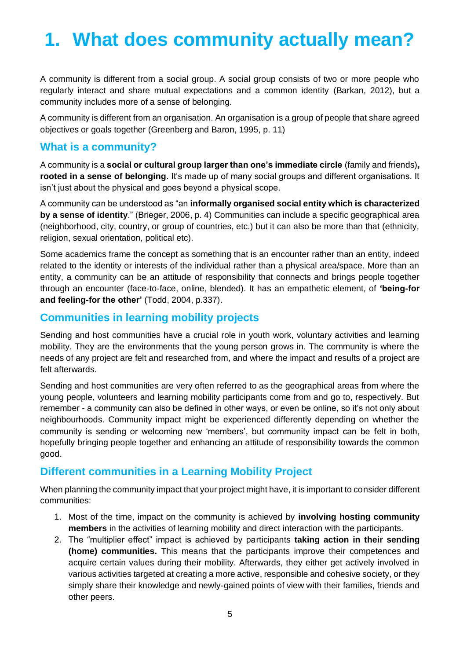# <span id="page-4-0"></span>**1. What does community actually mean?**

A community is different from a social group. A social group consists of two or more people who regularly interact and share mutual expectations and a common identity (Barkan, 2012), but a community includes more of a sense of belonging.

A community is different from an organisation. An organisation is a group of people that share agreed objectives or goals together (Greenberg and Baron, 1995, p. 11)

## <span id="page-4-1"></span>**What is a community?**

A community is a **social or cultural group larger than one's immediate circle** (family and friends)**, rooted in a sense of belonging**. It's made up of many social groups and different organisations. It isn't just about the physical and goes beyond a physical scope.

A community can be understood as "an **informally organised social entity which is characterized by a sense of identity**." (Brieger, 2006, p. 4) Communities can include a specific geographical area (neighborhood, city, country, or group of countries, etc.) but it can also be more than that (ethnicity, religion, sexual orientation, political etc).

Some academics frame the concept as something that is an encounter rather than an entity, indeed related to the identity or interests of the individual rather than a physical area/space. More than an entity, a community can be an attitude of responsibility that connects and brings people together through an encounter (face-to-face, online, blended). It has an empathetic element, of **'being-for and feeling-for the other'** (Todd, 2004, p.337).

## <span id="page-4-2"></span>**Communities in learning mobility projects**

Sending and host communities have a crucial role in youth work, voluntary activities and learning mobility. They are the environments that the young person grows in. The community is where the needs of any project are felt and researched from, and where the impact and results of a project are felt afterwards.

Sending and host communities are very often referred to as the geographical areas from where the young people, volunteers and learning mobility participants come from and go to, respectively. But remember - a community can also be defined in other ways, or even be online, so it's not only about neighbourhoods. Community impact might be experienced differently depending on whether the community is sending or welcoming new 'members', but community impact can be felt in both, hopefully bringing people together and enhancing an attitude of responsibility towards the common good.

## <span id="page-4-3"></span>**Different communities in a Learning Mobility Project**

When planning the community impact that your project might have, it is important to consider different communities:

- 1. Most of the time, impact on the community is achieved by **involving hosting community members** in the activities of learning mobility and direct interaction with the participants.
- 2. The "multiplier effect" impact is achieved by participants **taking action in their sending (home) communities.** This means that the participants improve their competences and acquire certain values during their mobility. Afterwards, they either get actively involved in various activities targeted at creating a more active, responsible and cohesive society, or they simply share their knowledge and newly-gained points of view with their families, friends and other peers.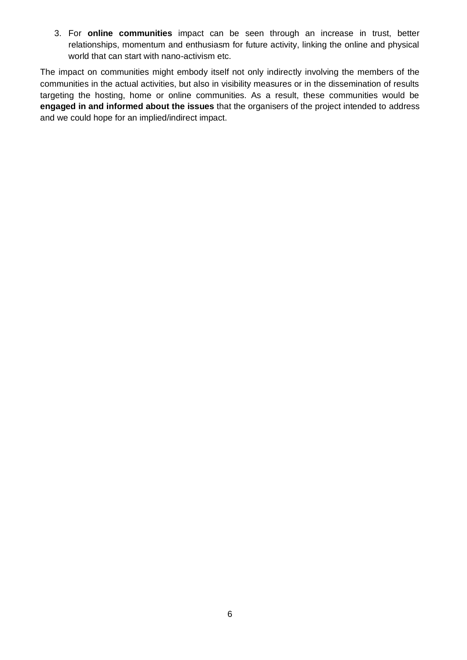3. For **online communities** impact can be seen through an increase in trust, better relationships, momentum and enthusiasm for future activity, linking the online and physical world that can start with nano-activism etc.

The impact on communities might embody itself not only indirectly involving the members of the communities in the actual activities, but also in visibility measures or in the dissemination of results targeting the hosting, home or online communities. As a result, these communities would be **engaged in and informed about the issues** that the organisers of the project intended to address and we could hope for an implied/indirect impact.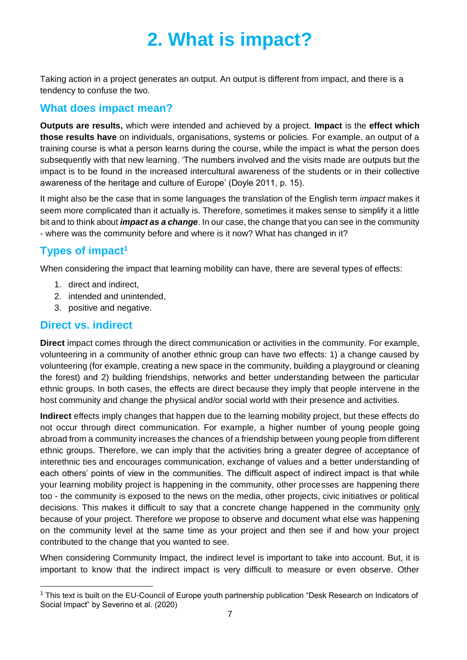# **2. What is impact?**

<span id="page-6-0"></span>Taking action in a project generates an output. An output is different from impact, and there is a tendency to confuse the two.

## **What does impact mean?**

**Outputs are results,** which were intended and achieved by a project. **Impact** is the **effect which those results have** on individuals, organisations, systems or policies. For example, an output of a training course is what a person learns during the course, while the impact is what the person does subsequently with that new learning. 'The numbers involved and the visits made are outputs but the impact is to be found in the increased intercultural awareness of the students or in their collective awareness of the heritage and culture of Europe' (Doyle 2011, p. 15).

It might also be the case that in some languages the translation of the English term *impact* makes it seem more complicated than it actually is. Therefore, sometimes it makes sense to simplify it a little bit and to think about *impact as a change*. In our case, the change that you can see in the community - where was the community before and where is it now? What has changed in it?

## **Types of impact<sup>1</sup>**

When considering the impact that learning mobility can have, there are several types of effects:

- 1. direct and indirect,
- 2. intended and unintended,
- 3. positive and negative.

## **Direct vs. indirect**

**Direct** impact comes through the direct communication or activities in the community. For example, volunteering in a community of another ethnic group can have two effects: 1) a change caused by volunteering (for example, creating a new space in the community, building a playground or cleaning the forest) and 2) building friendships, networks and better understanding between the particular ethnic groups. In both cases, the effects are direct because they imply that people intervene in the host community and change the physical and/or social world with their presence and activities.

**Indirect** effects imply changes that happen due to the learning mobility project, but these effects do not occur through direct communication. For example, a higher number of young people going abroad from a community increases the chances of a friendship between young people from different ethnic groups. Therefore, we can imply that the activities bring a greater degree of acceptance of interethnic ties and encourages communication, exchange of values and a better understanding of each others' points of view in the communities. The difficult aspect of indirect impact is that while your learning mobility project is happening in the community, other processes are happening there too - the community is exposed to the news on the media, other projects, civic initiatives or political decisions. This makes it difficult to say that a concrete change happened in the community only because of your project. Therefore we propose to observe and document what else was happening on the community level at the same time as your project and then see if and how your project contributed to the change that you wanted to see.

When considering Community Impact, the indirect level is important to take into account. But, it is important to know that the indirect impact is very difficult to measure or even observe. Other

<sup>&</sup>lt;sup>1</sup> This text is built on the EU-Council of Europe youth partnership publication "Desk Research on Indicators of Social Impact" by Severino et al. (2020)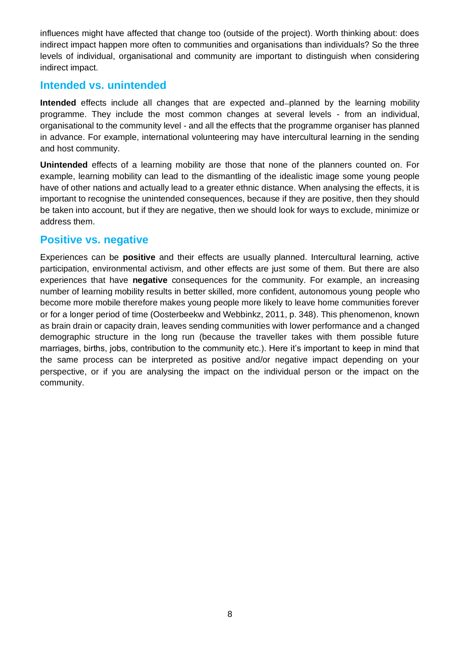influences might have affected that change too (outside of the project). Worth thinking about: does indirect impact happen more often to communities and organisations than individuals? So the three levels of individual, organisational and community are important to distinguish when considering indirect impact.

### **Intended vs. unintended**

**Intended** effects include all changes that are expected and-planned by the learning mobility programme. They include the most common changes at several levels - from an individual, organisational to the community level - and all the effects that the programme organiser has planned in advance. For example, international volunteering may have intercultural learning in the sending and host community.

**Unintended** effects of a learning mobility are those that none of the planners counted on. For example, learning mobility can lead to the dismantling of the idealistic image some young people have of other nations and actually lead to a greater ethnic distance. When analysing the effects, it is important to recognise the unintended consequences, because if they are positive, then they should be taken into account, but if they are negative, then we should look for ways to exclude, minimize or address them.

## **Positive vs. negative**

Experiences can be **positive** and their effects are usually planned. Intercultural learning, active participation, environmental activism, and other effects are just some of them. But there are also experiences that have **negative** consequences for the community. For example, an increasing number of learning mobility results in better skilled, more confident, autonomous young people who become more mobile therefore makes young people more likely to leave home communities forever or for a longer period of time (Oosterbeekw and Webbinkz, 2011, p. 348). This phenomenon, known as brain drain or capacity drain, leaves sending communities with lower performance and a changed demographic structure in the long run (because the traveller takes with them possible future marriages, births, jobs, contribution to the community etc.). Here it's important to keep in mind that the same process can be interpreted as positive and/or negative impact depending on your perspective, or if you are analysing the impact on the individual person or the impact on the community.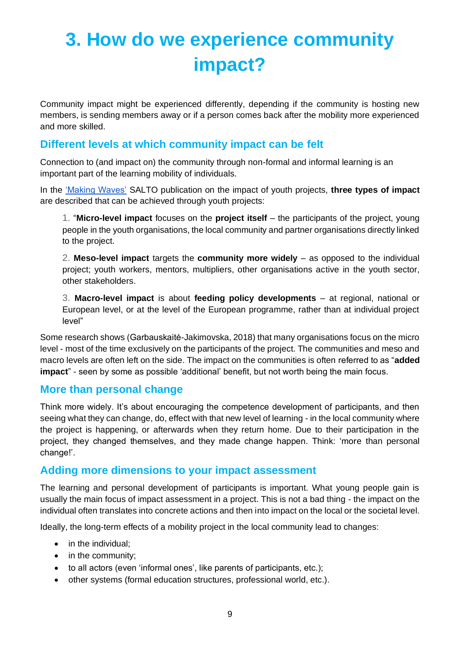# <span id="page-8-0"></span>**3. How do we experience community impact?**

Community impact might be experienced differently, depending if the community is hosting new members, is sending members away or if a person comes back after the mobility more experienced and more skilled.

## **Different levels at which community impact can be felt**

Connection to (and impact on) the community through non-formal and informal learning is an important part of the learning mobility of individuals.

In the ['Making Waves'](https://www.salto-youth.net/rc/inclusion/inclusionpublications/makingwaves/) SALTO publication on the impact of youth projects, **three types of impact** are described that can be achieved through youth projects:

1. "**Micro-level impact** focuses on the **project itself** – the participants of the project, young people in the youth organisations, the local community and partner organisations directly linked to the project.

2. **Meso-level impact** targets the **community more widely** – as opposed to the individual project; youth workers, mentors, multipliers, other organisations active in the youth sector, other stakeholders.

3. **Macro-level impact** is about **feeding policy developments** – at regional, national or European level, or at the level of the European programme, rather than at individual project level"

Some research shows (Garbauskaitė-Jakimovska, 2018) that many organisations focus on the micro level - most of the time exclusively on the participants of the project. The communities and meso and macro levels are often left on the side. The impact on the communities is often referred to as "**added impact**" - seen by some as possible 'additional' benefit, but not worth being the main focus.

## **More than personal change**

Think more widely. It's about encouraging the competence development of participants, and then seeing what they can change, do, effect with that new level of learning - in the local community where the project is happening, or afterwards when they return home. Due to their participation in the project, they changed themselves, and they made change happen. Think: 'more than personal change!'.

## **Adding more dimensions to your impact assessment**

The learning and personal development of participants is important. What young people gain is usually the main focus of impact assessment in a project. This is not a bad thing - the impact on the individual often translates into concrete actions and then into impact on the local or the societal level.

Ideally, the long-term effects of a mobility project in the local community lead to changes:

- in the individual:
- in the community;
- to all actors (even 'informal ones', like parents of participants, etc.);
- other systems (formal education structures, professional world, etc.).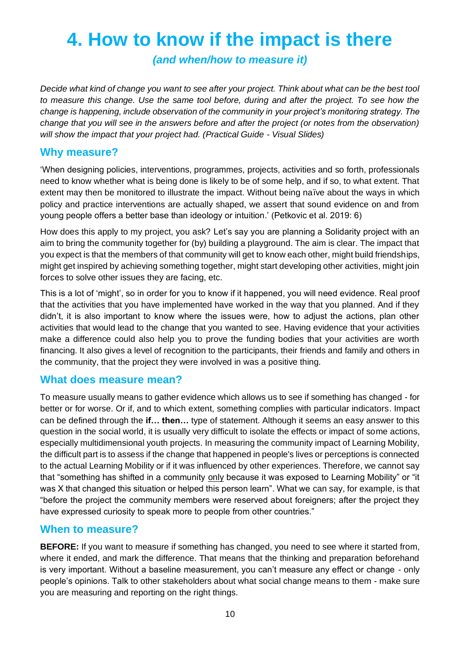## <span id="page-9-0"></span>**4. How to know if the impact is there**

*(and when/how to measure it)*

*Decide what kind of change you want to see after your project. Think about what can be the best tool to measure this change. Use the same tool before, during and after the project. To see how the change is happening, include observation of the community in your project's monitoring strategy. The change that you will see in the answers before and after the project (or notes from the observation) will show the impact that your project had. (Practical Guide - Visual Slides)*

## **Why measure?**

'When designing policies, interventions, programmes, projects, activities and so forth, professionals need to know whether what is being done is likely to be of some help, and if so, to what extent. That extent may then be monitored to illustrate the impact. Without being naïve about the ways in which policy and practice interventions are actually shaped, we assert that sound evidence on and from young people offers a better base than ideology or intuition.' (Petkovic et al. 2019: 6)

How does this apply to my project, you ask? Let's say you are planning a Solidarity project with an aim to bring the community together for (by) building a playground. The aim is clear. The impact that you expect is that the members of that community will get to know each other, might build friendships, might get inspired by achieving something together, might start developing other activities, might join forces to solve other issues they are facing, etc.

This is a lot of 'might', so in order for you to know if it happened, you will need evidence. Real proof that the activities that you have implemented have worked in the way that you planned. And if they didn't, it is also important to know where the issues were, how to adjust the actions, plan other activities that would lead to the change that you wanted to see. Having evidence that your activities make a difference could also help you to prove the funding bodies that your activities are worth financing. It also gives a level of recognition to the participants, their friends and family and others in the community, that the project they were involved in was a positive thing.

## **What does measure mean?**

To measure usually means to gather evidence which allows us to see if something has changed - for better or for worse. Or if, and to which extent, something complies with particular indicators. Impact can be defined through the **if… then…** type of statement. Although it seems an easy answer to this question in the social world, it is usually very difficult to isolate the effects or impact of some actions, especially multidimensional youth projects. In measuring the community impact of Learning Mobility, the difficult part is to assess if the change that happened in people's lives or perceptions is connected to the actual Learning Mobility or if it was influenced by other experiences. Therefore, we cannot say that "something has shifted in a community only because it was exposed to Learning Mobility" or "it was X that changed this situation or helped this person learn". What we can say, for example, is that "before the project the community members were reserved about foreigners; after the project they have expressed curiosity to speak more to people from other countries."

## **When to measure?**

**BEFORE:** If you want to measure if something has changed, you need to see where it started from, where it ended, and mark the difference. That means that the thinking and preparation beforehand is very important. Without a baseline measurement, you can't measure any effect or change - only people's opinions. Talk to other stakeholders about what social change means to them - make sure you are measuring and reporting on the right things.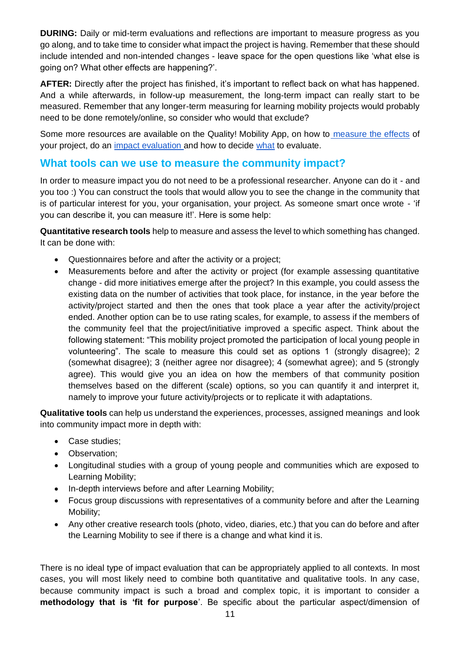**DURING:** Daily or mid-term evaluations and reflections are important to measure progress as you go along, and to take time to consider what impact the project is having. Remember that these should include intended and non-intended changes - leave space for the open questions like 'what else is going on? What other effects are happening?'.

**AFTER:** Directly after the project has finished, it's important to reflect back on what has happened. And a while afterwards, in follow-up measurement, the long-term impact can really start to be measured. Remember that any longer-term measuring for learning mobility projects would probably need to be done remotely/online, so consider who would that exclude?

Some more resources are available on the Quality! Mobility App, on how to [measure the effects](https://www.qualitymobility.app/resources/search/181) of your project, do an [impact evaluation a](https://www.qualitymobility.app/resources/search/141)nd how to decide [what](https://www.qualitymobility.app/resources/search/140) to evaluate.

## **What tools can we use to measure the community impact?**

In order to measure impact you do not need to be a professional researcher. Anyone can do it - and you too :) You can construct the tools that would allow you to see the change in the community that is of particular interest for you, your organisation, your project. As someone smart once wrote - 'if you can describe it, you can measure it!'. Here is some help:

**Quantitative research tools** help to measure and assess the level to which something has changed. It can be done with:

- Questionnaires before and after the activity or a project;
- Measurements before and after the activity or project (for example assessing quantitative change - did more initiatives emerge after the project? In this example, you could assess the existing data on the number of activities that took place, for instance, in the year before the activity/project started and then the ones that took place a year after the activity/project ended. Another option can be to use rating scales, for example, to assess if the members of the community feel that the project/initiative improved a specific aspect. Think about the following statement: "This mobility project promoted the participation of local young people in volunteering". The scale to measure this could set as options 1 (strongly disagree); 2 (somewhat disagree); 3 (neither agree nor disagree); 4 (somewhat agree); and 5 (strongly agree). This would give you an idea on how the members of that community position themselves based on the different (scale) options, so you can quantify it and interpret it, namely to improve your future activity/projects or to replicate it with adaptations.

**Qualitative tools** can help us understand the experiences, processes, assigned meanings and look into community impact more in depth with:

- Case studies;
- Observation;
- Longitudinal studies with a group of young people and communities which are exposed to Learning Mobility;
- In-depth interviews before and after Learning Mobility;
- Focus group discussions with representatives of a community before and after the Learning Mobility;
- Any other creative research tools (photo, video, diaries, etc.) that you can do before and after the Learning Mobility to see if there is a change and what kind it is.

There is no ideal type of impact evaluation that can be appropriately applied to all contexts. In most cases, you will most likely need to combine both quantitative and qualitative tools. In any case, because community impact is such a broad and complex topic, it is important to consider a **methodology that is 'fit for purpose**'. Be specific about the particular aspect/dimension of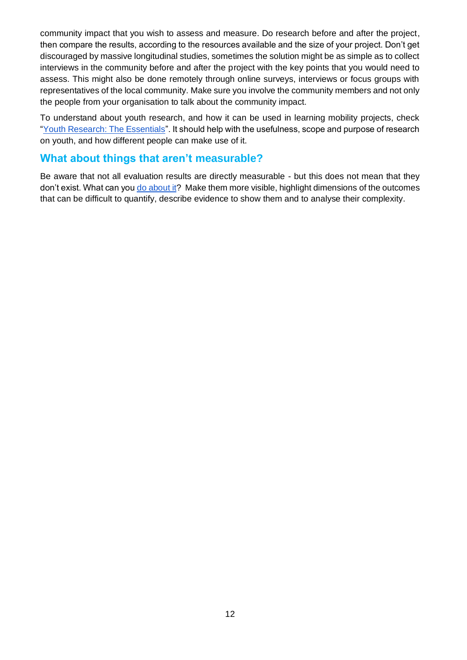community impact that you wish to assess and measure. Do research before and after the project, then compare the results, according to the resources available and the size of your project. Don't get discouraged by massive longitudinal studies, sometimes the solution might be as simple as to collect interviews in the community before and after the project with the key points that you would need to assess. This might also be done remotely through online surveys, interviews or focus groups with representatives of the local community. Make sure you involve the community members and not only the people from your organisation to talk about the community impact.

To understand about youth research, and how it can be used in learning mobility projects, check "Youth Research: The Essentials". It should help with the usefulness, scope and purpose of research on youth, and how different people can make use of it.

## **What about things that aren't measurable?**

Be aware that not all evaluation results are directly measurable - but this does not mean that they don't exist. What can you [do about it?](https://www.qualitymobility.app/resources/search/140) Make them more visible, highlight dimensions of the outcomes that can be difficult to quantify, describe evidence to show them and to analyse their complexity.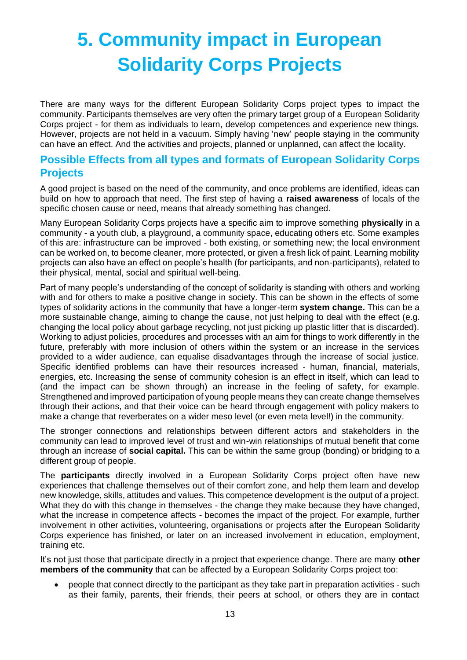# <span id="page-12-0"></span>**5. Community impact in European Solidarity Corps Projects**

There are many ways for the different European Solidarity Corps project types to impact the community. Participants themselves are very often the primary target group of a European Solidarity Corps project - for them as individuals to learn, develop competences and experience new things. However, projects are not held in a vacuum. Simply having 'new' people staying in the community can have an effect. And the activities and projects, planned or unplanned, can affect the locality.

## <span id="page-12-1"></span>**Possible Effects from all types and formats of European Solidarity Corps Projects**

A good project is based on the need of the community, and once problems are identified, ideas can build on how to approach that need. The first step of having a **raised awareness** of locals of the specific chosen cause or need, means that already something has changed.

Many European Solidarity Corps projects have a specific aim to improve something **physically** in a community - a youth club, a playground, a community space, educating others etc. Some examples of this are: infrastructure can be improved - both existing, or something new; the local environment can be worked on, to become cleaner, more protected, or given a fresh lick of paint. Learning mobility projects can also have an effect on people's health (for participants, and non-participants), related to their physical, mental, social and spiritual well-being.

Part of many people's understanding of the concept of solidarity is standing with others and working with and for others to make a positive change in society. This can be shown in the effects of some types of solidarity actions in the community that have a longer-term **system change.** This can be a more sustainable change, aiming to change the cause, not just helping to deal with the effect (e.g. changing the local policy about garbage recycling, not just picking up plastic litter that is discarded). Working to adjust policies, procedures and processes with an aim for things to work differently in the future, preferably with more inclusion of others within the system or an increase in the services provided to a wider audience, can equalise disadvantages through the increase of social justice. Specific identified problems can have their resources increased - human, financial, materials, energies, etc. Increasing the sense of community cohesion is an effect in itself, which can lead to (and the impact can be shown through) an increase in the feeling of safety, for example. Strengthened and improved participation of young people means they can create change themselves through their actions, and that their voice can be heard through engagement with policy makers to make a change that reverberates on a wider meso level (or even meta level!) in the community.

The stronger connections and relationships between different actors and stakeholders in the community can lead to improved level of trust and win-win relationships of mutual benefit that come through an increase of **social capital.** This can be within the same group (bonding) or bridging to a different group of people.

The **participants** directly involved in a European Solidarity Corps project often have new experiences that challenge themselves out of their comfort zone, and help them learn and develop new knowledge, skills, attitudes and values. This competence development is the output of a project. What they do with this change in themselves - the change they make because they have changed, what the increase in competence affects - becomes the impact of the project. For example, further involvement in other activities, volunteering, organisations or projects after the European Solidarity Corps experience has finished, or later on an increased involvement in education, employment, training etc.

It's not just those that participate directly in a project that experience change. There are many **other members of the community** that can be affected by a European Solidarity Corps project too:

• people that connect directly to the participant as they take part in preparation activities - such as their family, parents, their friends, their peers at school, or others they are in contact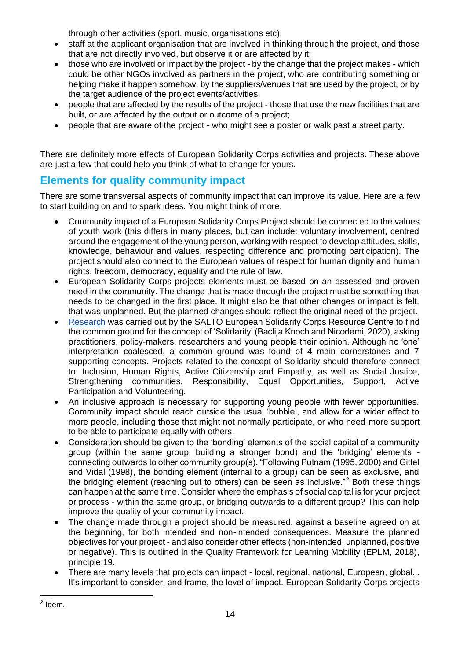through other activities (sport, music, organisations etc);

- staff at the applicant organisation that are involved in thinking through the project, and those that are not directly involved, but observe it or are affected by it;
- those who are involved or impact by the project by the change that the project makes which could be other NGOs involved as partners in the project, who are contributing something or helping make it happen somehow, by the suppliers/venues that are used by the project, or by the target audience of the project events/activities;
- people that are affected by the results of the project those that use the new facilities that are built, or are affected by the output or outcome of a project;
- people that are aware of the project who might see a poster or walk past a street party.

There are definitely more effects of European Solidarity Corps activities and projects. These above are just a few that could help you think of what to change for yours.

## <span id="page-13-0"></span>**Elements for quality community impact**

There are some transversal aspects of community impact that can improve its value. Here are a few to start building on and to spark ideas. You might think of more.

- Community impact of a European Solidarity Corps Project should be connected to the values of youth work (this differs in many places, but can include: voluntary involvement, centred around the engagement of the young person, working with respect to develop attitudes, skills, knowledge, behaviour and values, respecting difference and promoting participation). The project should also connect to the European values of respect for human dignity and human rights, freedom, democracy, equality and the rule of law.
- European Solidarity Corps projects elements must be based on an assessed and proven need in the community. The change that is made through the project must be something that needs to be changed in the first place. It might also be that other changes or impact is felt, that was unplanned. But the planned changes should reflect the original need of the project.
- [Research](https://www.salto-youth.net/downloads/4-17-4046/4TDS%20Study%2020200421.pdf) was carried out by the SALTO European Solidarity Corps Resource Centre to find the common ground for the concept of 'Solidarity' (Baclija Knoch and Nicodemi, 2020), asking practitioners, policy-makers, researchers and young people their opinion. Although no 'one' interpretation coalesced, a common ground was found of 4 main cornerstones and 7 supporting concepts. Projects related to the concept of Solidarity should therefore connect to: Inclusion, Human Rights, Active Citizenship and Empathy, as well as Social Justice, Strengthening communities, Responsibility, Equal Opportunities, Support, Active Participation and Volunteering.
- An inclusive approach is necessary for supporting young people with fewer opportunities. Community impact should reach outside the usual 'bubble', and allow for a wider effect to more people, including those that might not normally participate, or who need more support to be able to participate equally with others.
- Consideration should be given to the 'bonding' elements of the social capital of a community group (within the same group, building a stronger bond) and the 'bridging' elements connecting outwards to other community group(s). "Following Putnam (1995, 2000) and Gittel and Vidal (1998), the bonding element (internal to a group) can be seen as exclusive, and the bridging element (reaching out to others) can be seen as inclusive."<sup>2</sup> Both these things can happen at the same time. Consider where the emphasis of social capital is for your project or process - within the same group, or bridging outwards to a different group? This can help improve the quality of your community impact.
- The change made through a project should be measured, against a baseline agreed on at the beginning, for both intended and non-intended consequences. Measure the planned objectives for your project - and also consider other effects (non-intended, unplanned, positive or negative). This is outlined in the Quality Framework for Learning Mobility (EPLM, 2018), principle 19.
- There are many levels that projects can impact local, regional, national, European, global... It's important to consider, and frame, the level of impact. European Solidarity Corps projects

 $2$  Idem.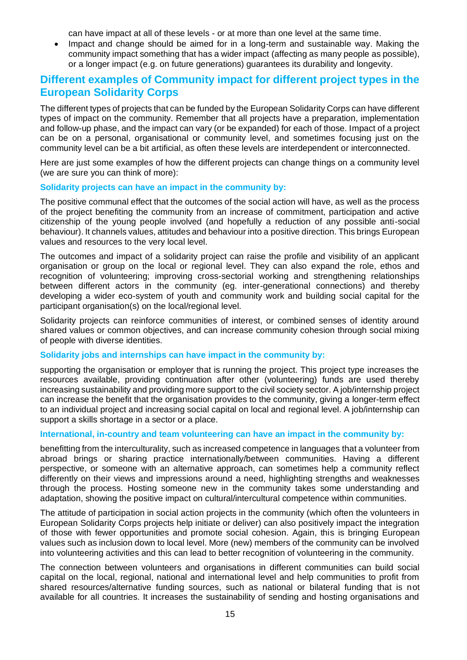can have impact at all of these levels - or at more than one level at the same time.

• Impact and change should be aimed for in a long-term and sustainable way. Making the community impact something that has a wider impact (affecting as many people as possible), or a longer impact (e.g. on future generations) guarantees its durability and longevity.

## <span id="page-14-0"></span>**Different examples of Community impact for different project types in the European Solidarity Corps**

The different types of projects that can be funded by the European Solidarity Corps can have different types of impact on the community. Remember that all projects have a preparation, implementation and follow-up phase, and the impact can vary (or be expanded) for each of those. Impact of a project can be on a personal, organisational or community level, and sometimes focusing just on the community level can be a bit artificial, as often these levels are interdependent or interconnected.

Here are just some examples of how the different projects can change things on a community level (we are sure you can think of more):

#### **Solidarity projects can have an impact in the community by:**

The positive communal effect that the outcomes of the social action will have, as well as the process of the project benefiting the community from an increase of commitment, participation and active citizenship of the young people involved (and hopefully a reduction of any possible anti-social behaviour). It channels values, attitudes and behaviour into a positive direction. This brings European values and resources to the very local level.

The outcomes and impact of a solidarity project can raise the profile and visibility of an applicant organisation or group on the local or regional level. They can also expand the role, ethos and recognition of volunteering; improving cross-sectorial working and strengthening relationships between different actors in the community (eg. inter-generational connections) and thereby developing a wider eco-system of youth and community work and building social capital for the participant organisation(s) on the local/regional level.

Solidarity projects can reinforce communities of interest, or combined senses of identity around shared values or common objectives, and can increase community cohesion through social mixing of people with diverse identities.

#### **Solidarity jobs and internships can have impact in the community by:**

supporting the organisation or employer that is running the project. This project type increases the resources available, providing continuation after other (volunteering) funds are used thereby increasing sustainability and providing more support to the civil society sector. A job/internship project can increase the benefit that the organisation provides to the community, giving a longer-term effect to an individual project and increasing social capital on local and regional level. A job/internship can support a skills shortage in a sector or a place.

#### **International, in-country and team volunteering can have an impact in the community by:**

benefitting from the interculturality, such as increased competence in languages that a volunteer from abroad brings or sharing practice internationally/between communities. Having a different perspective, or someone with an alternative approach, can sometimes help a community reflect differently on their views and impressions around a need, highlighting strengths and weaknesses through the process. Hosting someone new in the community takes some understanding and adaptation, showing the positive impact on cultural/intercultural competence within communities.

The attitude of participation in social action projects in the community (which often the volunteers in European Solidarity Corps projects help initiate or deliver) can also positively impact the integration of those with fewer opportunities and promote social cohesion. Again, this is bringing European values such as inclusion down to local level. More (new) members of the community can be involved into volunteering activities and this can lead to better recognition of volunteering in the community.

The connection between volunteers and organisations in different communities can build social capital on the local, regional, national and international level and help communities to profit from shared resources/alternative funding sources, such as national or bilateral funding that is not available for all countries. It increases the sustainability of sending and hosting organisations and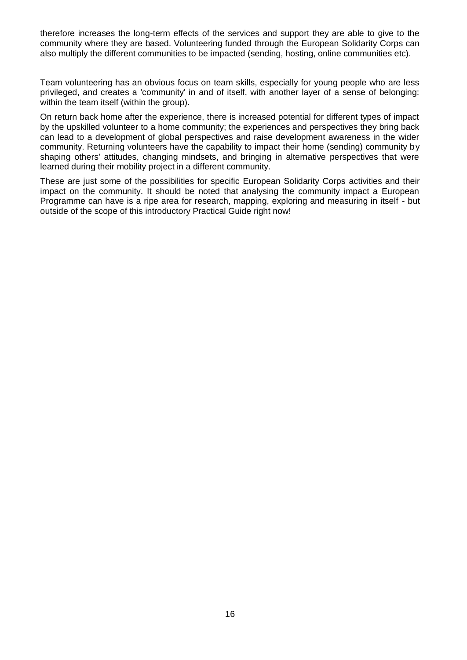therefore increases the long-term effects of the services and support they are able to give to the community where they are based. Volunteering funded through the European Solidarity Corps can also multiply the different communities to be impacted (sending, hosting, online communities etc).

Team volunteering has an obvious focus on team skills, especially for young people who are less privileged, and creates a 'community' in and of itself, with another layer of a sense of belonging: within the team itself (within the group).

On return back home after the experience, there is increased potential for different types of impact by the upskilled volunteer to a home community; the experiences and perspectives they bring back can lead to a development of global perspectives and raise development awareness in the wider community. Returning volunteers have the capability to impact their home (sending) community by shaping others' attitudes, changing mindsets, and bringing in alternative perspectives that were learned during their mobility project in a different community.

These are just some of the possibilities for specific European Solidarity Corps activities and their impact on the community. It should be noted that analysing the community impact a European Programme can have is a ripe area for research, mapping, exploring and measuring in itself - but outside of the scope of this introductory Practical Guide right now!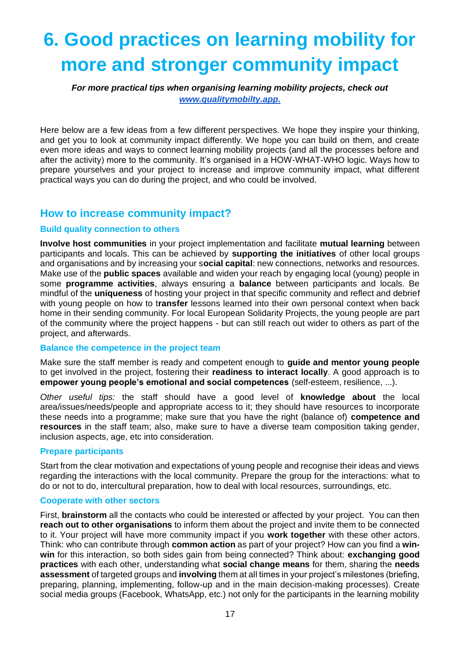# <span id="page-16-0"></span>**6. Good practices on learning mobility for more and stronger community impact**

*For more practical tips when organising learning mobility projects, check out [www.qualitymobilty.app.](http://www.qualitymobilty.app./)* 

Here below are a few ideas from a few different perspectives. We hope they inspire your thinking, and get you to look at community impact differently. We hope you can build on them, and create even more ideas and ways to connect learning mobility projects (and all the processes before and after the activity) more to the community. It's organised in a HOW-WHAT-WHO logic. Ways how to prepare yourselves and your project to increase and improve community impact, what different practical ways you can do during the project, and who could be involved.

## <span id="page-16-1"></span>**How to increase community impact?**

#### **Build quality connection to others**

**Involve host communities** in your project implementation and facilitate **mutual learning** between participants and locals. This can be achieved by **supporting the initiatives** of other local groups and organisations and by increasing your s**ocial capital**: new connections, networks and resources. Make use of the **public spaces** available and widen your reach by engaging local (young) people in some **programme activities**, always ensuring a **balance** between participants and locals. Be mindful of the **uniqueness** of hosting your project in that specific community and reflect and debrief with young people on how to t**ransfer** lessons learned into their own personal context when back home in their sending community. For local European Solidarity Projects, the young people are part of the community where the project happens - but can still reach out wider to others as part of the project, and afterwards.

#### **Balance the competence in the project team**

Make sure the staff member is ready and competent enough to **guide and mentor young people** to get involved in the project, fostering their **readiness to interact locally**. A good approach is to **empower young people's emotional and social competences** (self-esteem, resilience, ...).

*Other useful tips:* the staff should have a good level of **knowledge about** the local area/issues/needs/people and appropriate access to it; they should have resources to incorporate these needs into a programme; make sure that you have the right (balance of) **competence and resources** in the staff team; also, make sure to have a diverse team composition taking gender, inclusion aspects, age, etc into consideration.

#### **Prepare participants**

Start from the clear motivation and expectations of young people and recognise their ideas and views regarding the interactions with the local community. Prepare the group for the interactions: what to do or not to do, intercultural preparation, how to deal with local resources, surroundings, etc.

#### **Cooperate with other sectors**

First, **brainstorm** all the contacts who could be interested or affected by your project. You can then **reach out to other organisations** to inform them about the project and invite them to be connected to it. Your project will have more community impact if you **work together** with these other actors. Think: who can contribute through **common action** as part of your project? How can you find a **winwin** for this interaction, so both sides gain from being connected? Think about: **exchanging good practices** with each other, understanding what **social change means** for them, sharing the **needs assessment** of targeted groups and **involving** them at all times in your project's milestones (briefing, preparing, planning, implementing, follow-up and in the main decision-making processes). Create social media groups (Facebook, WhatsApp, etc.) not only for the participants in the learning mobility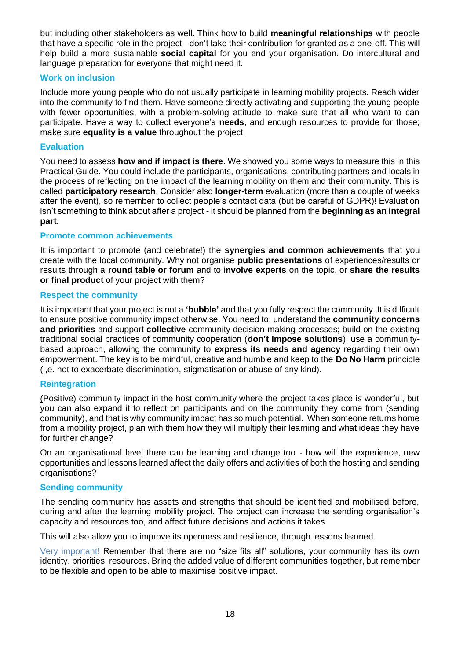but including other stakeholders as well. Think how to build **meaningful relationships** with people that have a specific role in the project - don't take their contribution for granted as a one-off. This will help build a more sustainable **social capital** for you and your organisation. Do intercultural and language preparation for everyone that might need it.

#### **Work on inclusion**

Include more young people who do not usually participate in learning mobility projects. Reach wider into the community to find them. Have someone directly activating and supporting the young people with fewer opportunities, with a problem-solving attitude to make sure that all who want to can participate. Have a way to collect everyone's **needs**, and enough resources to provide for those; make sure **equality is a value** throughout the project.

#### **Evaluation**

You need to assess **how and if impact is there**. We showed you some ways to measure this in this Practical Guide. You could include the participants, organisations, contributing partners and locals in the process of reflecting on the impact of the learning mobility on them and their community. This is called **participatory research**. Consider also **longer-term** evaluation (more than a couple of weeks after the event), so remember to collect people's contact data (but be careful of GDPR)! Evaluation isn't something to think about after a project - it should be planned from the **beginning as an integral part.** 

#### **Promote common achievements**

It is important to promote (and celebrate!) the **synergies and common achievements** that you create with the local community. Why not organise **public presentations** of experiences/results or results through a **round table or forum** and to i**nvolve experts** on the topic, or **share the results or final product** of your project with them?

#### **Respect the community**

It is important that your project is not a **'bubble'** and that you fully respect the community. It is difficult to ensure positive community impact otherwise. You need to: understand the **community concerns and priorities** and support **collective** community decision‑making processes; build on the existing traditional social practices of community cooperation (**don't impose solutions**); use a communitybased approach, allowing the community to **express its needs and agency** regarding their own empowerment. The key is to be mindful, creative and humble and keep to the **Do No Harm** principle (i,e. not to exacerbate discrimination, stigmatisation or abuse of any kind).

#### **Reintegration**

(Positive) community impact in the host community where the project takes place is wonderful, but you can also expand it to reflect on participants and on the community they come from (sending community), and that is why community impact has so much potential. When someone returns home from a mobility project, plan with them how they will multiply their learning and what ideas they have for further change?

On an organisational level there can be learning and change too - how will the experience, new opportunities and lessons learned affect the daily offers and activities of both the hosting and sending organisations?

#### **Sending community**

The sending community has assets and strengths that should be identified and mobilised before, during and after the learning mobility project. The project can increase the sending organisation's capacity and resources too, and affect future decisions and actions it takes.

This will also allow you to improve its openness and resilience, through lessons learned.

Very important! Remember that there are no "size fits all" solutions, your community has its own identity, priorities, resources. Bring the added value of different communities together, but remember to be flexible and open to be able to maximise positive impact.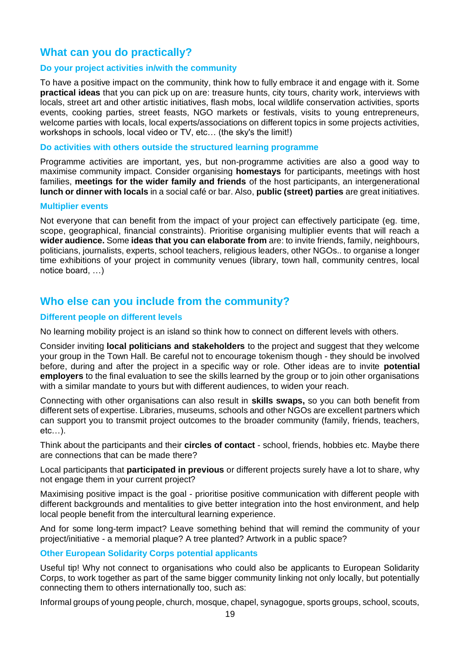## <span id="page-18-0"></span>**What can you do practically?**

#### **Do your project activities in/with the community**

To have a positive impact on the community, think how to fully embrace it and engage with it. Some **practical ideas** that you can pick up on are: treasure hunts, city tours, charity work, interviews with locals, street art and other artistic initiatives, flash mobs, local wildlife conservation activities, sports events, cooking parties, street feasts, NGO markets or festivals, visits to young entrepreneurs, welcome parties with locals, local experts/associations on different topics in some projects activities, workshops in schools, local video or TV, etc… (the sky's the limit!)

#### **Do activities with others outside the structured learning programme**

Programme activities are important, yes, but non-programme activities are also a good way to maximise community impact. Consider organising **homestays** for participants, meetings with host families, **meetings for the wider family and friends** of the host participants, an intergenerational **lunch or dinner with locals** in a social café or bar. Also, **public (street) parties** are great initiatives.

#### **Multiplier events**

Not everyone that can benefit from the impact of your project can effectively participate (eg. time, scope, geographical, financial constraints). Prioritise organising multiplier events that will reach a **wider audience.** Some **ideas that you can elaborate from** are: to invite friends, family, neighbours, politicians, journalists, experts, school teachers, religious leaders, other NGOs.. to organise a longer time exhibitions of your project in community venues (library, town hall, community centres, local notice board, …)

## <span id="page-18-1"></span>**Who else can you include from the community?**

#### **Different people on different levels**

No learning mobility project is an island so think how to connect on different levels with others.

Consider inviting **local politicians and stakeholders** to the project and suggest that they welcome your group in the Town Hall. Be careful not to encourage tokenism though - they should be involved before, during and after the project in a specific way or role. Other ideas are to invite **potential employers** to the final evaluation to see the skills learned by the group or to join other organisations with a similar mandate to yours but with different audiences, to widen your reach.

Connecting with other organisations can also result in **skills swaps,** so you can both benefit from different sets of expertise. Libraries, museums, schools and other NGOs are excellent partners which can support you to transmit project outcomes to the broader community (family, friends, teachers, etc…).

Think about the participants and their **circles of contact** - school, friends, hobbies etc. Maybe there are connections that can be made there?

Local participants that **participated in previous** or different projects surely have a lot to share, why not engage them in your current project?

Maximising positive impact is the goal - prioritise positive communication with different people with different backgrounds and mentalities to give better integration into the host environment, and help local people benefit from the intercultural learning experience.

And for some long-term impact? Leave something behind that will remind the community of your project/initiative - a memorial plaque? A tree planted? Artwork in a public space?

#### **Other European Solidarity Corps potential applicants**

Useful tip! Why not connect to organisations who could also be applicants to European Solidarity Corps, to work together as part of the same bigger community linking not only locally, but potentially connecting them to others internationally too, such as:

Informal groups of young people, church, mosque, chapel, synagogue, sports groups, school, scouts,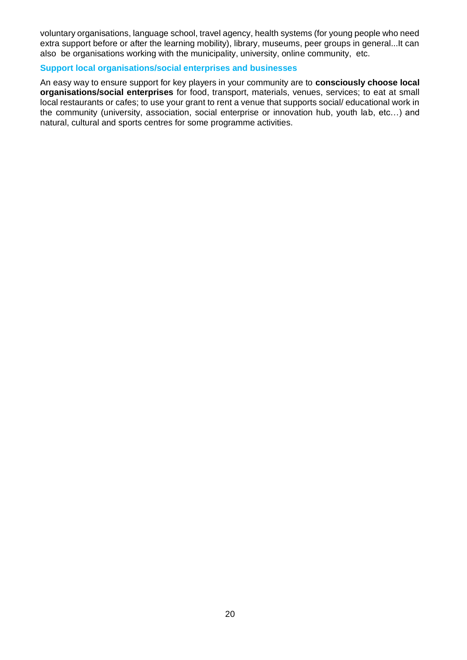voluntary organisations, language school, travel agency, health systems (for young people who need extra support before or after the learning mobility), library, museums, peer groups in general...It can also be organisations working with the municipality, university, online community, etc.

#### **Support local organisations/social enterprises and businesses**

An easy way to ensure support for key players in your community are to **consciously choose local organisations/social enterprises** for food, transport, materials, venues, services; to eat at small local restaurants or cafes; to use your grant to rent a venue that supports social/ educational work in the community (university, association, social enterprise or innovation hub, youth lab, etc…) and natural, cultural and sports centres for some programme activities.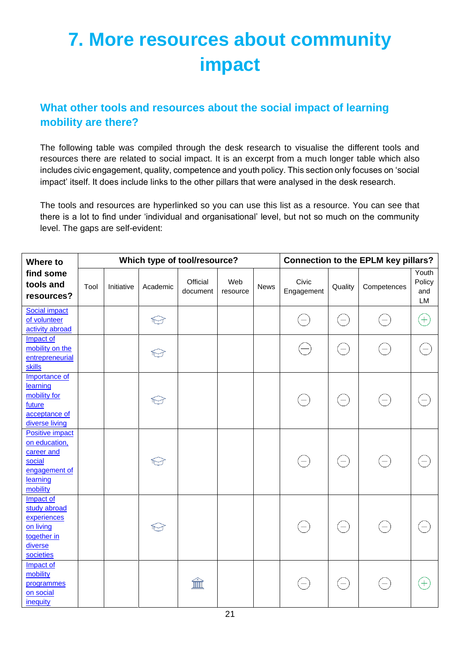# **7. More resources about community impact**

## **What other tools and resources about the social impact of learning mobility are there?**

The following table was compiled through the desk research to visualise the different tools and resources there are related to social impact. It is an excerpt from a much longer table which also includes civic engagement, quality, competence and youth policy. This section only focuses on 'social impact' itself. It does include links to the other pillars that were analysed in the desk research.

The tools and resources are hyperlinked so you can use this list as a resource. You can see that there is a lot to find under 'individual and organisational' level, but not so much on the community level. The gaps are self-evident:

| Where to<br>find some<br>tools and<br>resources?                                                         |      |            | Which type of tool/resource? |                      | <b>Connection to the EPLM key pillars?</b> |      |                     |                          |                   |                              |
|----------------------------------------------------------------------------------------------------------|------|------------|------------------------------|----------------------|--------------------------------------------|------|---------------------|--------------------------|-------------------|------------------------------|
|                                                                                                          | Tool | Initiative | Academic                     | Official<br>document | Web<br>resource                            | News | Civic<br>Engagement | Quality                  | Competences       | Youth<br>Policy<br>and<br>LM |
| <b>Social impact</b><br>of volunteer<br>activity abroad                                                  |      |            | $\bigodot$                   |                      |                                            |      |                     | $=$                      | $=$               | $(+)$                        |
| Impact of<br>mobility on the<br>entrepreneurial<br><b>skills</b>                                         |      |            |                              |                      |                                            |      |                     | $\equiv$                 | $=$               |                              |
| Importance of<br>learning<br>mobility for<br>future<br>acceptance of<br>diverse living                   |      |            | ←                            |                      |                                            |      |                     | $\left( -\right)$        | $=$               |                              |
| <b>Positive impact</b><br>on education,<br>career and<br>social<br>engagement of<br>learning<br>mobility |      |            | $\bigodot$                   |                      |                                            |      | $\left( -\right)$   | $\equiv$                 | $\left( -\right)$ |                              |
| Impact of<br>study abroad<br>experiences<br>on living<br>together in<br>diverse<br>societies             |      |            | $\bigtriangledown$           |                      |                                            |      | $=$                 | $\overline{\phantom{0}}$ | $\left[ -\right]$ |                              |
| Impact of<br>mobility<br>programmes<br>on social<br>inequity                                             |      |            |                              |                      |                                            |      |                     |                          |                   | $\hspace{0.1mm} +$           |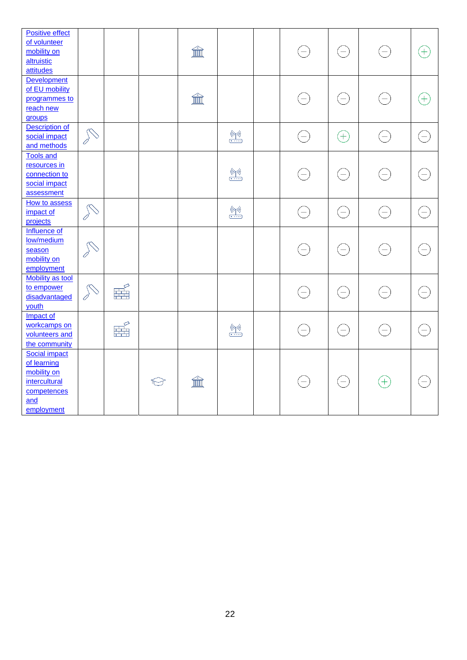| <b>Positive effect</b>  |              |       |            |    |                                 |                   |                   |                                                                              |                          |
|-------------------------|--------------|-------|------------|----|---------------------------------|-------------------|-------------------|------------------------------------------------------------------------------|--------------------------|
| of volunteer            |              |       |            |    |                                 |                   |                   |                                                                              |                          |
| mobility on             |              |       |            | íî |                                 | $=$               | $\left( -\right)$ | $\left( -\right)$                                                            | $^{+}$                   |
| altruistic              |              |       |            |    |                                 |                   |                   |                                                                              |                          |
| attitudes               |              |       |            |    |                                 |                   |                   |                                                                              |                          |
| Development             |              |       |            |    |                                 |                   |                   |                                                                              |                          |
| of EU mobility          |              |       |            |    |                                 |                   |                   |                                                                              |                          |
| programmes to           |              |       |            | 血  |                                 | $=$               | $\equiv$          | $\left( -\right)$                                                            | $[+]$                    |
| reach new               |              |       |            |    |                                 |                   |                   |                                                                              |                          |
| groups                  |              |       |            |    |                                 |                   |                   |                                                                              |                          |
| <b>Description of</b>   |              |       |            |    |                                 |                   |                   |                                                                              |                          |
| social impact           | A            |       |            |    | $\frac{(\mu)}{(\mu)}$           | $\left( -\right)$ | $^{+}$            | $\left( \begin{matrix} - \end{matrix} \right)$                               |                          |
| and methods             |              |       |            |    |                                 |                   |                   |                                                                              |                          |
| <b>Tools and</b>        |              |       |            |    |                                 |                   |                   |                                                                              |                          |
| resources in            |              |       |            |    |                                 |                   |                   |                                                                              |                          |
| connection to           |              |       |            |    | $\frac{(\mu)}{(\mu)}$           | $\left( -\right)$ | $\left( -\right)$ | $(\hbox{--})$                                                                | $\overline{\phantom{0}}$ |
| social impact           |              |       |            |    |                                 |                   |                   |                                                                              |                          |
| assessment              |              |       |            |    |                                 |                   |                   |                                                                              |                          |
| How to assess           |              |       |            |    |                                 |                   |                   |                                                                              |                          |
| impact of               | $\mathbb{R}$ |       |            |    | $\frac{(\binom{n}{r})}{\cdots}$ | $\left( -\right)$ | $\left( -\right)$ | $\left( -\right)$                                                            |                          |
| projects                |              |       |            |    |                                 |                   |                   |                                                                              |                          |
| Influence of            |              |       |            |    |                                 |                   |                   |                                                                              |                          |
| low/medium              |              |       |            |    |                                 |                   |                   |                                                                              |                          |
| season                  | $\mathbb{R}$ |       |            |    |                                 | $\left( -\right)$ | $\left( -\right)$ | $\left( -\right)$                                                            |                          |
| mobility on             |              |       |            |    |                                 |                   |                   |                                                                              |                          |
| employment              |              |       |            |    |                                 |                   |                   |                                                                              |                          |
| <b>Mobility as tool</b> |              |       |            |    |                                 |                   |                   |                                                                              |                          |
| to empower              |              |       |            |    |                                 |                   |                   |                                                                              |                          |
| disadvantaged           | A            | 罶     |            |    |                                 | $\left( -\right)$ | $\left( -\right)$ | $\left( \begin{matrix} \rule{0mm}{6mm} \rule{0mm}{6mm} \end{matrix} \right)$ |                          |
| youth                   |              |       |            |    |                                 |                   |                   |                                                                              |                          |
| Impact of               |              |       |            |    |                                 |                   |                   |                                                                              |                          |
| workcamps on            |              |       |            |    |                                 |                   |                   |                                                                              |                          |
| volunteers and          |              | <br>眯 |            |    | $\frac{(\mu)}{(\mu)}$           | $\left( -\right)$ | $\left( -\right)$ | $(\text{--})$                                                                | $\equiv$                 |
| the community           |              |       |            |    |                                 |                   |                   |                                                                              |                          |
| <b>Social impact</b>    |              |       |            |    |                                 |                   |                   |                                                                              |                          |
| of learning             |              |       |            |    |                                 |                   |                   |                                                                              |                          |
| mobility on             |              |       |            |    |                                 |                   |                   |                                                                              |                          |
| intercultural           |              |       | $\bigodot$ | íî |                                 | $\left( -\right)$ | $\left( -\right)$ | $\bigoplus$                                                                  | $\qquad \qquad -$        |
| competences             |              |       |            |    |                                 |                   |                   |                                                                              |                          |
| and                     |              |       |            |    |                                 |                   |                   |                                                                              |                          |
|                         |              |       |            |    |                                 |                   |                   |                                                                              |                          |
| employment              |              |       |            |    |                                 |                   |                   |                                                                              |                          |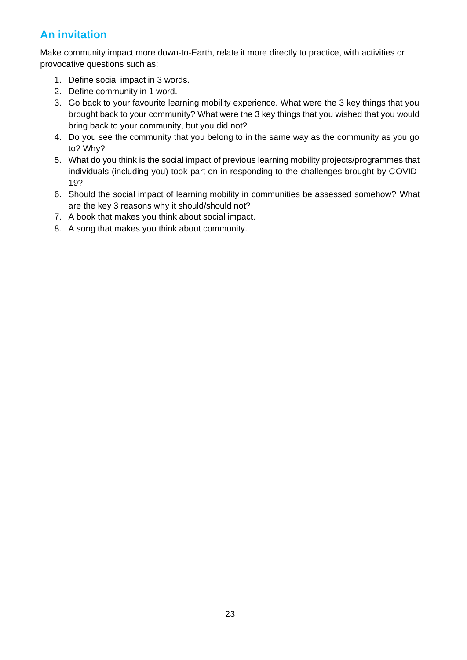## **An invitation**

Make community impact more down-to-Earth, relate it more directly to practice, with activities or provocative questions such as:

- 1. Define social impact in 3 words.
- 2. Define community in 1 word.
- 3. Go back to your favourite learning mobility experience. What were the 3 key things that you brought back to your community? What were the 3 key things that you wished that you would bring back to your community, but you did not?
- 4. Do you see the community that you belong to in the same way as the community as you go to? Why?
- 5. What do you think is the social impact of previous learning mobility projects/programmes that individuals (including you) took part on in responding to the challenges brought by COVID-19?
- 6. Should the social impact of learning mobility in communities be assessed somehow? What are the key 3 reasons why it should/should not?
- 7. A book that makes you think about social impact.
- 8. A song that makes you think about community.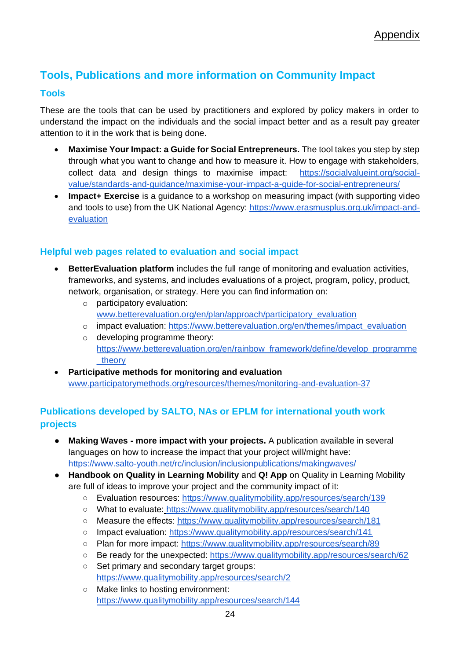## **Tools, Publications and more information on Community Impact**

### **Tools**

These are the tools that can be used by practitioners and explored by policy makers in order to understand the impact on the individuals and the social impact better and as a result pay greater attention to it in the work that is being done.

- **Maximise Your Impact: a Guide for Social Entrepreneurs.** The tool takes you step by step through what you want to change and how to measure it. How to engage with stakeholders, collect data and design things to maximise impact: [https://socialvalueint.org/social](https://socialvalueint.org/social-value/standards-and-guidance/maximise-your-impact-a-guide-for-social-entrepreneurs/)[value/standards-and-guidance/maximise-your-impact-a-guide-for-social-entrepreneurs/](https://socialvalueint.org/social-value/standards-and-guidance/maximise-your-impact-a-guide-for-social-entrepreneurs/)
- **Impact+ Exercise** is a guidance to a workshop on measuring impact (with supporting video and tools to use) from the UK National Agency: [https://www.erasmusplus.org.uk/impact-and](https://www.erasmusplus.org.uk/impact-and-evaluation)[evaluation](https://www.erasmusplus.org.uk/impact-and-evaluation)

## **Helpful web pages related to evaluation and social impact**

- **BetterEvaluation platform** includes the full range of monitoring and evaluation activities, frameworks, and systems, and includes evaluations of a project, program, policy, product, network, organisation, or strategy. Here you can find information on:
	- o participatory evaluation: [www.betterevaluation.org/en/plan/approach/participatory\\_evaluation](http://www.betterevaluation.org/en/plan/approach/participatory_evaluation)
	- o impact evaluation: [https://www.betterevaluation.org/en/themes/impact\\_evaluation](https://www.betterevaluation.org/en/themes/impact_evaluation)
	- o developing programme theory: [https://www.betterevaluation.org/en/rainbow\\_framework/define/develop\\_programme](https://www.betterevaluation.org/en/rainbow_framework/define/develop_programme_theory) theory
- **Participative methods for monitoring and evaluation**  [www.participatorymethods.org/resources/themes/monitoring-and-evaluation-37](http://www.participatorymethods.org/resources/themes/monitoring-and-evaluation-37)

## **Publications developed by SALTO, NAs or EPLM for international youth work projects**

- **Making Waves - more impact with your projects.** A publication available in several languages on how to increase the impact that your project will/might have: <https://www.salto-youth.net/rc/inclusion/inclusionpublications/makingwaves/>
- **Handbook on Quality in Learning Mobility** and **Q! App** on Quality in Learning Mobility are full of ideas to improve your project and the community impact of it:
	- Evaluation resources:<https://www.qualitymobility.app/resources/search/139>
	- What to evaluate: <https://www.qualitymobility.app/resources/search/140>
	- Measure the effects:<https://www.qualitymobility.app/resources/search/181>
	- Impact evaluation: https://www.qualitymobility.app/resources/search/141
	- Plan for more impact:<https://www.qualitymobility.app/resources/search/89>
	- Be ready for the unexpected:<https://www.qualitymobility.app/resources/search/62>
	- Set primary and secondary target groups: <https://www.qualitymobility.app/resources/search/2>
	- Make links to hosting environment: https://www.qualitymobility.app/resources/search/144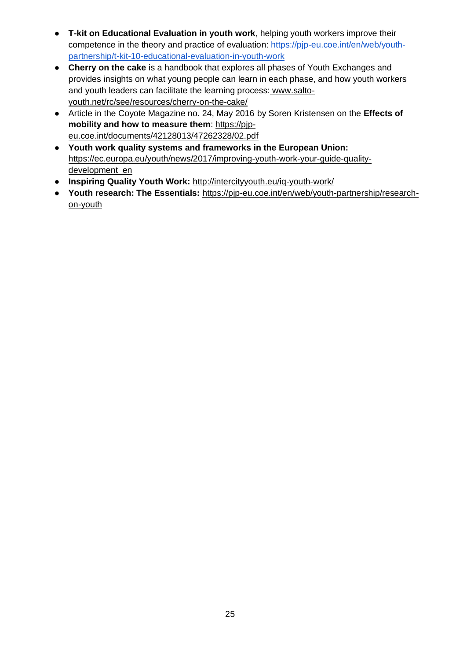- **T-kit on Educational Evaluation in youth work**, helping youth workers improve their competence in the theory and practice of evaluation[:](https://pjp-eu.coe.int/en/web/youth-partnership/t-kit-10-educational-evaluation-in-youth-work) [https://pjp-eu.coe.int/en/web/youth](https://pjp-eu.coe.int/en/web/youth-partnership/t-kit-10-educational-evaluation-in-youth-work)[partnership/t-kit-10-educational-evaluation-in-youth-work](https://pjp-eu.coe.int/en/web/youth-partnership/t-kit-10-educational-evaluation-in-youth-work)
- **Cherry on the cake** is a handbook that explores all phases of Youth Exchanges and provides insights on what young people can learn in each phase, and how youth workers and youth leaders can facilitate the learning process[:](https://www.salto-youth.net/rc/see/resources/cherry-on-the-cake/) [www.salto](http://www.salto-youth.net/rc/see/resources/cherry-on-the-cake/)[youth.net/rc/see/resources/cherry-on-the-cake/](http://www.salto-youth.net/rc/see/resources/cherry-on-the-cake/)
- [Article in the Coyote Magazine no. 24, May 2016](https://www.salto-youth.net/rc/see/resources/cherry-on-the-cake/) by Soren Kristensen on the **[Effects of](https://pjp-eu.coe.int/documents/42128013/47262328/02.pdf)  [mobility and how to measure them](https://pjp-eu.coe.int/documents/42128013/47262328/02.pdf)**: [https://pjp](https://www.salto-youth.net/rc/see/resources/cherry-on-the-cake/)[eu.coe.int/documents/42128013/47262328/02.pdf](https://www.salto-youth.net/rc/see/resources/cherry-on-the-cake/)
- **[Youth work quality systems and frameworks in the European Union:](https://www.salto-youth.net/rc/see/resources/cherry-on-the-cake/)** [https://ec.europa.eu/youth/news/2017/improving-youth-work-your-guide-quality](https://ec.europa.eu/youth/news/2017/improving-youth-work-your-guide-quality-development_en)[development\\_en](https://ec.europa.eu/youth/news/2017/improving-youth-work-your-guide-quality-development_en)
- **Inspiring Quality Youth Work[:](http://intercityyouth.eu/iq-youth-work/)** <http://intercityyouth.eu/iq-youth-work/>
- **Youth research: The Essentials:** [https://pjp-eu.coe.int/en/web/youth-partnership/research](https://pjp-eu.coe.int/en/web/youth-partnership/research-on-youth)[on-youth](https://pjp-eu.coe.int/en/web/youth-partnership/research-on-youth)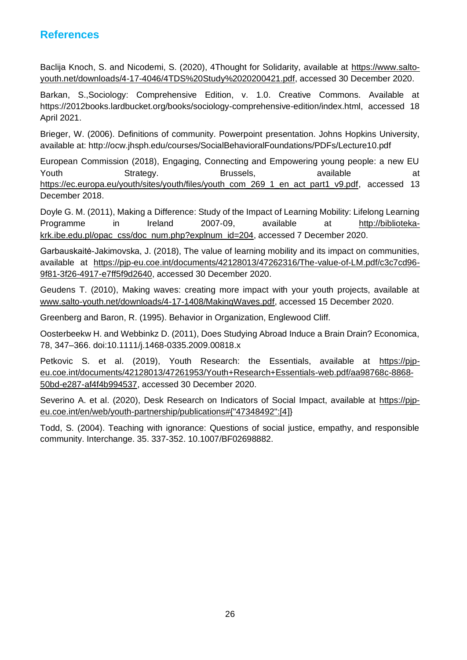## <span id="page-25-0"></span>**References**

Baclija Knoch, S. and Nicodemi, S. (2020), 4Thought for Solidarity, available at [https://www.salto](https://www.salto-youth.net/downloads/4-17-4046/4TDS%20Study%2020200421.pdf)[youth.net/downloads/4-17-4046/4TDS%20Study%2020200421.pdf,](https://www.salto-youth.net/downloads/4-17-4046/4TDS%20Study%2020200421.pdf) accessed 30 December 2020.

Barkan, S.,Sociology: Comprehensive Edition, v. 1.0. Creative Commons. Available at https://2012books.lardbucket.org/books/sociology-comprehensive-edition/index.html, accessed 18 April 2021.

Brieger, W. (2006). Definitions of community. Powerpoint presentation. Johns Hopkins University, available at: http://ocw.jhsph.edu/courses/SocialBehavioralFoundations/PDFs/Lecture10.pdf

European Commission (2018), Engaging, Connecting and Empowering young people: a new EU Youth Strategy. Brussels, available at [https://ec.europa.eu/youth/sites/youth/files/youth\\_com\\_269\\_1\\_en\\_act\\_part1\\_v9.pdf,](https://ec.europa.eu/youth/sites/youth/files/youth_com_269_1_en_act_part1_v9.pdf) accessed 13 December 2018.

Doyle G. M. (2011), Making a Difference: Study of the Impact of Learning Mobility: Lifelong Learning Programme in Ireland 2007‑09, available at [http://biblioteka](http://biblioteka-krk.ibe.edu.pl/opac_css/doc_num.php?explnum_id=204)[krk.ibe.edu.pl/opac\\_css/doc\\_num.php?explnum\\_id=204,](http://biblioteka-krk.ibe.edu.pl/opac_css/doc_num.php?explnum_id=204) accessed 7 December 2020.

Garbauskaitė-Jakimovska, J. (2018), The value of learning mobility and its impact on communities, available at [https://pjp-eu.coe.int/documents/42128013/47262316/The-value-of-LM.pdf/c3c7cd96-](https://pjp-eu.coe.int/documents/42128013/47262316/The-value-of-LM.pdf/c3c7cd96-9f81-3f26-4917-e7ff5f9d2640) [9f81-3f26-4917-e7ff5f9d2640,](https://pjp-eu.coe.int/documents/42128013/47262316/The-value-of-LM.pdf/c3c7cd96-9f81-3f26-4917-e7ff5f9d2640) accessed 30 December 2020.

Geudens T. (2010), Making waves: creating more impact with your youth projects, available at [www.salto-youth.net/downloads/4-17-1408/MakingWaves.pdf,](http://www.salto-youth.net/downloads/4-17-1408/MakingWaves.pdf) accessed 15 December 2020.

Greenberg and Baron, R. (1995). Behavior in Organization, Englewood Cliff.

Oosterbeekw H. and Webbinkz D. (2011), Does Studying Abroad Induce a Brain Drain? Economica, 78, 347–366. doi:10.1111/j.1468-0335.2009.00818.x

Petkovic S. et al. (2019), Youth Research: the Essentials, available at [https://pjp](https://pjp-eu.coe.int/documents/42128013/47261953/Youth+Research+Essentials-web.pdf/aa98768c-8868-50bd-e287-af4f4b994537)[eu.coe.int/documents/42128013/47261953/Youth+Research+Essentials-web.pdf/aa98768c-8868-](https://pjp-eu.coe.int/documents/42128013/47261953/Youth+Research+Essentials-web.pdf/aa98768c-8868-50bd-e287-af4f4b994537) [50bd-e287-af4f4b994537,](https://pjp-eu.coe.int/documents/42128013/47261953/Youth+Research+Essentials-web.pdf/aa98768c-8868-50bd-e287-af4f4b994537) accessed 30 December 2020.

Severino A. et al. (2020), Desk Research on Indicators of Social Impact, available at [https://pjp](https://pjp-eu.coe.int/en/web/youth-partnership/publications#%7B%2247348492%22:%5B4)[eu.coe.int/en/web/youth-partnership/publications#{"47348492":\[4\]](https://pjp-eu.coe.int/en/web/youth-partnership/publications#%7B%2247348492%22:%5B4)}

Todd, S. (2004). Teaching with ignorance: Questions of social justice, empathy, and responsible community. Interchange. 35. 337-352. 10.1007/BF02698882.